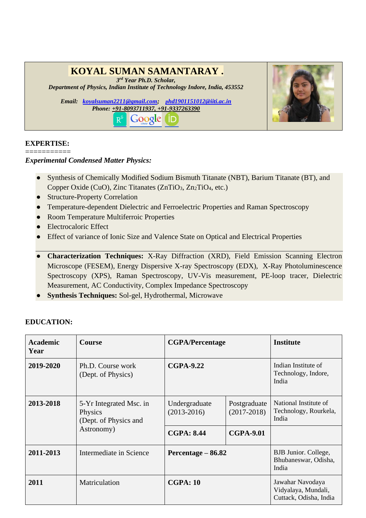# **KOYAL SUMAN SAMANTARAY .**

*3 rd Year Ph.D. Scholar,* 

*Department of Physics, Indian Institute of Technology Indore, India, 453552*

*Email: [koyalsuman2211@gmail.com;](mailto:koyalsuman2211@gmail.com) [p](mailto:phd1901151012@iiti.ac.in)[hd1901151012@iiti.ac.in](mailto:phd1901151012@iiti.ac.in) Phone: +91-8093711937, +91-9337263390* Google (  $R^6$ ID.



#### **EXPERTISE:**

===========

#### *Experimental Condensed Matter Physics:*

- Synthesis of Chemically Modified Sodium Bismuth Titanate (NBT), Barium Titanate (BT), and Copper Oxide (CuO), Zinc Titanates (ZnTiO<sub>3</sub>, Zn<sub>2</sub>TiO<sub>4</sub>, etc.)
- Structure-Property Correlation
- Temperature-dependent Dielectric and Ferroelectric Properties and Raman Spectroscopy
- Room Temperature Multiferroic Properties
- Electrocaloric Effect
- Effect of variance of Ionic Size and Valence State on Optical and Electrical Properties
- **Characterization Techniques:** X-Ray Diffraction (XRD), Field Emission Scanning Electron Microscope (FESEM), Energy Dispersive X-ray Spectroscopy (EDX), X-Ray Photoluminescence Spectroscopy (XPS), Raman Spectroscopy, UV-Vis measurement, PE-loop tracer, Dielectric Measurement, AC Conductivity, Complex Impedance Spectroscopy
- Synthesis Techniques: Sol-gel, Hydrothermal, Microwave

| <b>Academic</b><br>Year | <b>Course</b>                                                             | <b>CGPA/Percentage</b>           |                                 | <b>Institute</b>                                                  |
|-------------------------|---------------------------------------------------------------------------|----------------------------------|---------------------------------|-------------------------------------------------------------------|
| 2019-2020               | Ph.D. Course work<br>(Dept. of Physics)                                   | <b>CGPA-9.22</b>                 |                                 | Indian Institute of<br>Technology, Indore,<br>India               |
| 2013-2018               | 5-Yr Integrated Msc. in<br>Physics<br>(Dept. of Physics and<br>Astronomy) | Undergraduate<br>$(2013 - 2016)$ | Postgraduate<br>$(2017 - 2018)$ | National Institute of<br>Technology, Rourkela,<br>India           |
|                         |                                                                           | <b>CGPA: 8.44</b>                | <b>CGPA-9.01</b>                |                                                                   |
| 2011-2013               | Intermediate in Science                                                   | Percentage – 86.82               |                                 | BJB Junior. College,<br>Bhubaneswar, Odisha,<br>India             |
| 2011                    | Matriculation                                                             | CGPA:10                          |                                 | Jawahar Navodaya<br>Vidyalaya, Mundali,<br>Cuttack, Odisha, India |

# **EDUCATION:**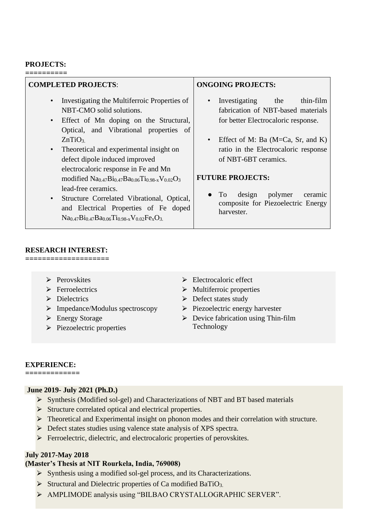#### **PROJECTS:**

**==========**

| <b>COMPLETED PROJECTS:</b>                                                                                                                                                                                                                                | <b>ONGOING PROJECTS:</b>                                                                                                    |
|-----------------------------------------------------------------------------------------------------------------------------------------------------------------------------------------------------------------------------------------------------------|-----------------------------------------------------------------------------------------------------------------------------|
| Investigating the Multiferroic Properties of<br>NBT-CMO solid solutions.<br>Effect of Mn doping on the Structural,<br>$\bullet$<br>Optical, and Vibrational properties of                                                                                 | thin-film<br>Investigating<br>the<br>$\bullet$<br>fabrication of NBT-based materials<br>for better Electrocaloric response. |
| ZnTiO <sub>3</sub><br>Theoretical and experimental insight on<br>$\bullet$<br>defect dipole induced improved                                                                                                                                              | Effect of M: Ba ( $M=Ca$ , Sr, and K)<br>ratio in the Electrocaloric response<br>of NBT-6BT ceramics.                       |
| electrocaloric response in Fe and Mn<br>modified $Na0.47Bi0.47Ba0.06Ti0.98-xV0.02O3$<br>lead-free ceramics.<br>Structure Correlated Vibrational, Optical,<br>$\bullet$<br>and Electrical Properties of Fe doped<br>$Na0.47Bi0.47Ba0.06Ti0.98-xV0.02FexO3$ | <b>FUTURE PROJECTS:</b><br>polymer<br>design<br>To.<br>ceramic<br>composite for Piezoelectric Energy<br>harvester.          |

## **RESEARCH INTEREST:**

**====================**

- ⮚ Perovskites
- > Ferroelectrics
- > Dielectrics
- ⮚ Impedance/Modulus spectroscopy
- ▶ Energy Storage
- $\triangleright$  Piezoelectric properties
- $\triangleright$  Electrocaloric effect
- $\triangleright$  Multiferroic properties
- $\triangleright$  Defect states study
- ⮚ Piezoelectric energy harvester
- $\triangleright$  Device fabrication using Thin-film Technology

## **EXPERIENCE:**

**=============**

## **June 2019- July 2021 (Ph.D.)**

- ⮚ Synthesis (Modified sol-gel) and Characterizations of NBT and BT based materials
- ⮚ Structure correlated optical and electrical properties.
- > Theoretical and Experimental insight on phonon modes and their correlation with structure.
- ▶ Defect states studies using valence state analysis of XPS spectra.
- ⮚ Ferroelectric, dielectric, and electrocaloric properties of perovskites.

## **July 2017-May 2018**

## **(Master's Thesis at NIT Rourkela, India, 769008)**

- ⮚ Synthesis using a modified sol-gel process, and its Characterizations.
- $\triangleright$  Structural and Dielectric properties of Ca modified BaTiO<sub>3.</sub>
- > AMPLIMODE analysis using "BILBAO CRYSTALLOGRAPHIC SERVER".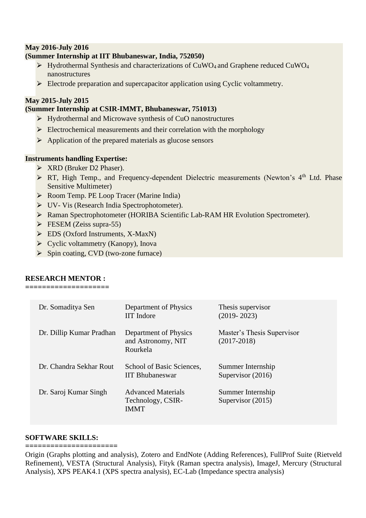## **May 2016-July 2016**

## **(Summer Internship at IIT Bhubaneswar, India, 752050)**

- $\triangleright$  Hydrothermal Synthesis and characterizations of CuWO<sub>4</sub> and Graphene reduced CuWO<sub>4</sub> nanostructures
- $\triangleright$  Electrode preparation and supercapacitor application using Cyclic voltammetry.

#### **May 2015-July 2015**

#### **(Summer Internship at CSIR-IMMT, Bhubaneswar, 751013)**

- $\triangleright$  Hydrothermal and Microwave synthesis of CuO nanostructures
- $\triangleright$  Electrochemical measurements and their correlation with the morphology
- $\triangleright$  Application of the prepared materials as glucose sensors

#### **Instruments handling Expertise:**

- $\triangleright$  XRD (Bruker D2 Phaser).
- > RT, High Temp., and Frequency-dependent Dielectric measurements (Newton's 4<sup>th</sup> Ltd. Phase Sensitive Multimeter)
- ▶ Room Temp. PE Loop Tracer (Marine India)
- ⮚ UV- Vis (Research India Spectrophotometer).
- > Raman Spectrophotometer (HORIBA Scientific Lab-RAM HR Evolution Spectrometer).
- $\triangleright$  FESEM (Zeiss supra-55)
- $\triangleright$  EDS (Oxford Instruments, X-MaxN)
- $\triangleright$  Cyclic voltammetry (Kanopy), Inova
- $\triangleright$  Spin coating, CVD (two-zone furnace)

## **RESEARCH MENTOR :**

**====================**

| Dr. Somaditya Sen        | Department of Physics<br><b>IIT</b> Indore                    | Thesis supervisor<br>$(2019 - 2023)$          |
|--------------------------|---------------------------------------------------------------|-----------------------------------------------|
| Dr. Dillip Kumar Pradhan | Department of Physics<br>and Astronomy, NIT<br>Rourkela       | Master's Thesis Supervisor<br>$(2017 - 2018)$ |
| Dr. Chandra Sekhar Rout  | School of Basic Sciences,<br><b>IIT Bhubaneswar</b>           | Summer Internship<br>Supervisor $(2016)$      |
| Dr. Saroj Kumar Singh    | <b>Advanced Materials</b><br>Technology, CSIR-<br><b>IMMT</b> | Summer Internship<br>Supervisor (2015)        |

#### **SOFTWARE SKILLS:**

**======================** Origin (Graphs plotting and analysis), Zotero and EndNote (Adding References), FullProf Suite (Rietveld Refinement), VESTA (Structural Analysis), Fityk (Raman spectra analysis), ImageJ, Mercury (Structural Analysis), XPS PEAK4.1 (XPS spectra analysis), EC-Lab (Impedance spectra analysis)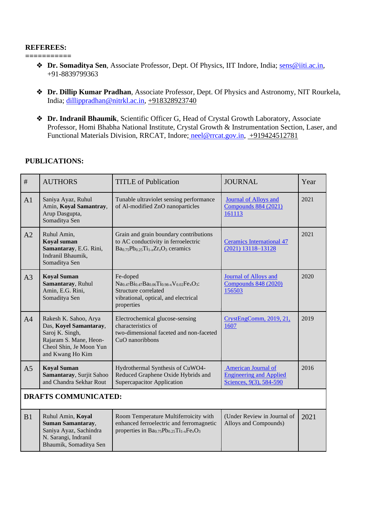#### **REFEREES:**

**===========**

- ❖ **Dr. Somaditya Sen**, Associate Professor, Dept. Of Physics, IIT Indore, India; [sens@iiti.ac.in,](mailto:sens@iiti.ac.in) +91-8839799363
- ❖ **Dr. Dillip Kumar Pradhan**, Associate Professor, Dept. Of Physics and Astronomy, NIT Rourkela, India; [dillippradhan@nitrkl.ac.in,](mailto:dillippradhan@nitrkl.ac.in) +918328923740
- ❖ **Dr. Indranil Bhaumik**, Scientific Officer G, Head of Crystal Growth Laboratory, Associate Professor, Homi Bhabha National Institute, Crystal Growth & Instrumentation Section, Laser, and Functional Materials Division, RRCAT, Indore; [neel@rrcat.gov.in,](mailto:neel@rrcat.gov.in) +919424512781

## **PUBLICATIONS:**

| $\#$                        | <b>AUTHORS</b>                                                                                                                              | <b>TITLE</b> of Publication                                                                                                                | <b>JOURNAL</b>                                                                          | Year |
|-----------------------------|---------------------------------------------------------------------------------------------------------------------------------------------|--------------------------------------------------------------------------------------------------------------------------------------------|-----------------------------------------------------------------------------------------|------|
| A <sub>1</sub>              | Saniya Ayaz, Ruhul<br>Amin, Koyal Samantray,<br>Arup Dasgupta,<br>Somaditya Sen                                                             | Tunable ultraviolet sensing performance<br>of Al-modified ZnO nanoparticles                                                                | <b>Journal of Alloys and</b><br><b>Compounds 884 (2021)</b><br>161113                   | 2021 |
| A2                          | Ruhul Amin,<br>Koyal suman<br>Samantaray, E.G. Rini,<br>Indranil Bhaumik,<br>Somaditya Sen                                                  | Grain and grain boundary contributions<br>to AC conductivity in ferroelectric<br>$Ba0.75Pb0.25Ti1-xZrxO3$ ceramics                         | <b>Ceramics International 47</b><br>$(2021)$ 13118-13128                                | 2021 |
| A <sub>3</sub>              | <b>Koyal Suman</b><br>Samantaray, Ruhul<br>Amin, E.G. Rini,<br>Somaditya Sen                                                                | Fe-doped<br>$Na0.47Bi0.47Ba0.06Ti0.98-xV0.02FexO3$<br>Structure correlated<br>vibrational, optical, and electrical<br>properties           | <b>Journal of Alloys and</b><br><b>Compounds 848 (2020)</b><br>156503                   | 2020 |
| A <sup>4</sup>              | Rakesh K. Sahoo, Arya<br>Das, Koyel Samantaray,<br>Saroj K. Singh,<br>Rajaram S. Mane, Heon-<br>Cheol Shin, Je Moon Yun<br>and Kwang Ho Kim | Electrochemical glucose-sensing<br>characteristics of<br>two-dimensional faceted and non-faceted<br>CuO nanoribbons                        | CrystEngComm, 2019, 21,<br>1607                                                         | 2019 |
| A <sub>5</sub>              | <b>Koyal Suman</b><br>Samantaray, Surjit Sahoo<br>and Chandra Sekhar Rout                                                                   | Hydrothermal Synthesis of CuWO4-<br>Reduced Graphene Oxide Hybrids and<br>Supercapacitor Application                                       | <b>American Journal of</b><br><b>Engineering and Applied</b><br>Sciences, 9(3), 584-590 | 2016 |
| <b>DRAFTS COMMUNICATED:</b> |                                                                                                                                             |                                                                                                                                            |                                                                                         |      |
| B1                          | Ruhul Amin, Koyal<br><b>Suman Samantaray,</b><br>Saniya Ayaz, Sachindra<br>N. Sarangi, Indranil<br>Bhaumik, Somaditya Sen                   | Room Temperature Multiferroicity with<br>enhanced ferroelectric and ferromagnetic<br>properties in $Ba_{0.75}Pb_{0.25}Ti_{1-x}Fe_{x}O_{3}$ | (Under Review in Journal of<br>Alloys and Compounds)                                    | 2021 |